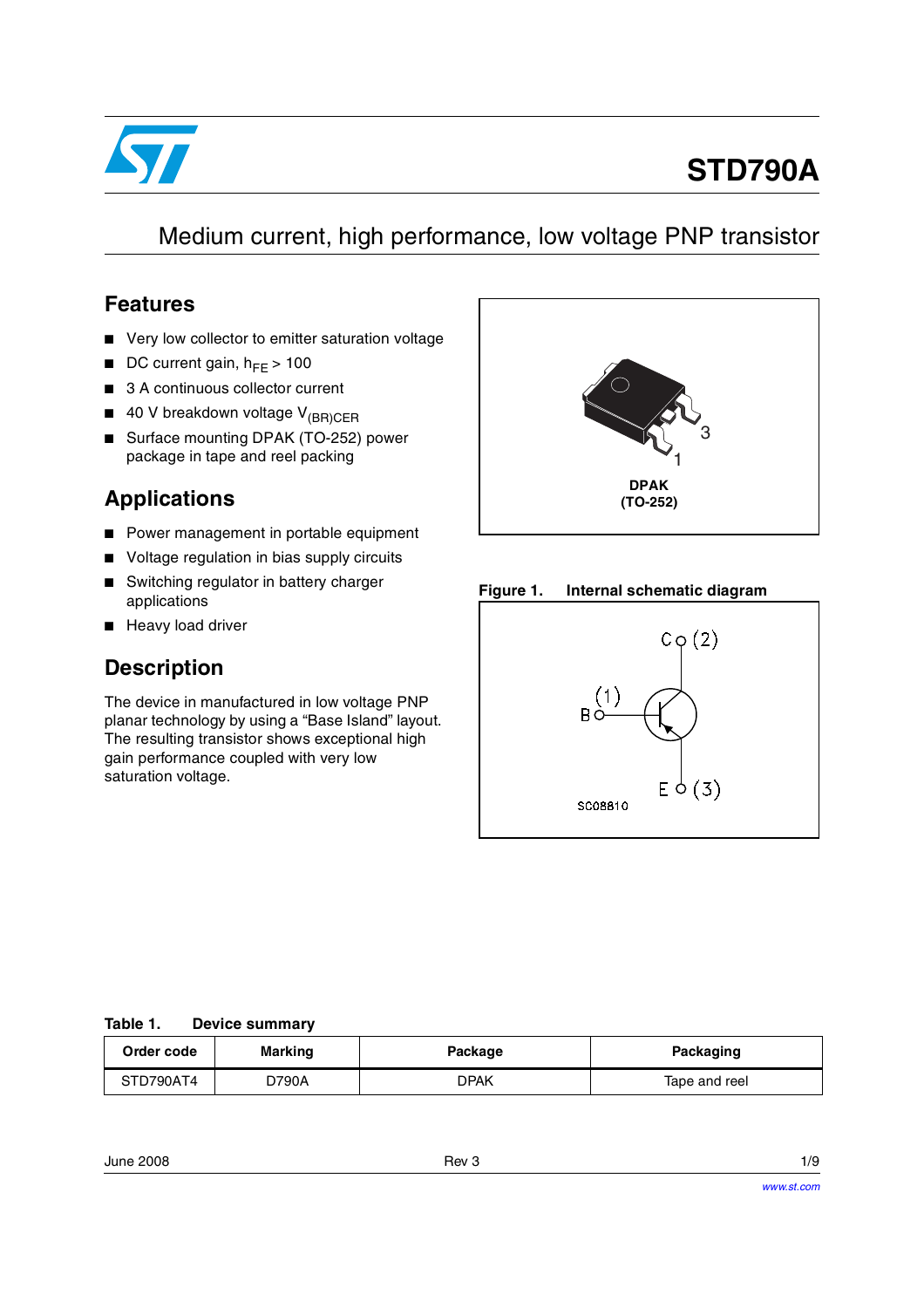

# **STD790A**

# Medium current, high performance, low voltage PNP transistor

### **Features**

- Very low collector to emitter saturation voltage
- **■** DC current gain,  $h_{FE} > 100$
- 3 A continuous collector current
- 40 V breakdown voltage V<sub>(BR)CER</sub>
- Surface mounting DPAK (TO-252) power package in tape and reel packing

# **Applications**

- Power management in portable equipment
- Voltage regulation in bias supply circuits
- Switching regulator in battery charger applications
- Heavy load driver

# **Description**

The device in manufactured in low voltage PNP planar technology by using a "Base Island" layout. The resulting transistor shows exceptional high gain performance coupled with very low saturation voltage.



#### **Figure 1. Internal schematic diagram**



#### **Table 1. Device summary**

| Order code | <b>Marking</b> | Package | Packaging     |
|------------|----------------|---------|---------------|
| STD790AT4  | D790A          | DPAK    | Tape and reel |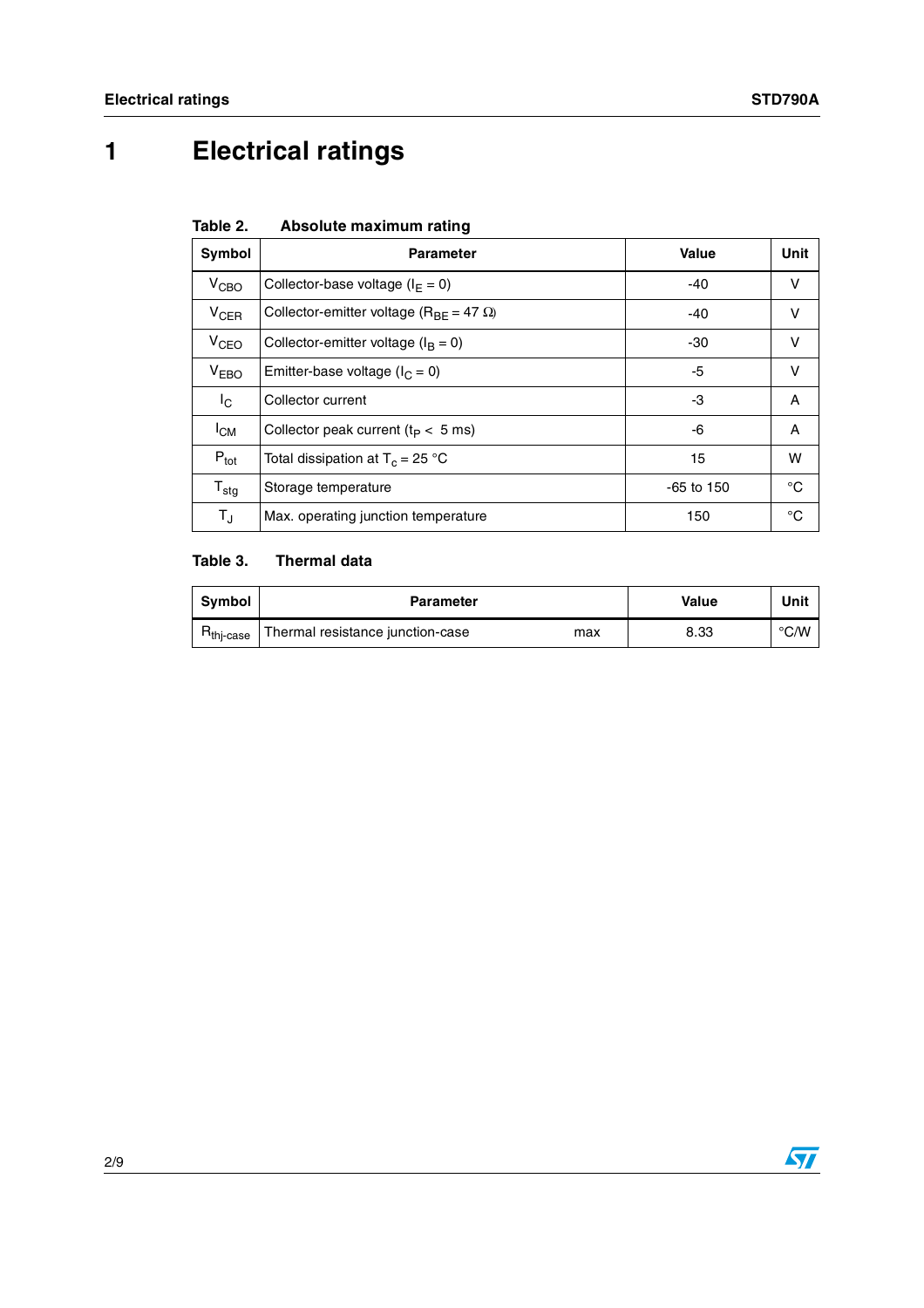# **1 Electrical ratings**

| Table 2. |  | Absolute maximum rating |  |
|----------|--|-------------------------|--|
|----------|--|-------------------------|--|

| Symbol           | <b>Parameter</b>                                     | <b>Value</b> | Unit |
|------------------|------------------------------------------------------|--------------|------|
| V <sub>CBO</sub> | Collector-base voltage ( $I_F = 0$ )                 | -40          | V    |
| $V_{CER}$        | Collector-emitter voltage ( $R_{BF}$ = 47 $\Omega$ ) | -40          | v    |
| V <sub>CEO</sub> | Collector-emitter voltage ( $I_B = 0$ )              | -30          | V    |
| V <sub>EBO</sub> | Emitter-base voltage ( $I_C = 0$ )                   | -5           | v    |
| $I_{\rm C}$      | Collector current                                    | -3           | A    |
| $I_{CM}$         | Collector peak current ( $t_P < 5$ ms)               | -6           | Α    |
| $P_{\text{tot}}$ | Total dissipation at $T_c = 25 °C$                   | 15           | w    |
| $T_{\sf stg}$    | Storage temperature                                  | $-65$ to 150 | °C   |
| TJ.              | Max. operating junction temperature                  | 150          | °C   |

### **Table 3. Thermal data**

| <b>Symbol</b>         | <b>Parameter</b>                        | Value | Unit |
|-----------------------|-----------------------------------------|-------|------|
| $n_{\text{thi-case}}$ | Thermal resistance junction-case<br>max | 8.33  | °C/W |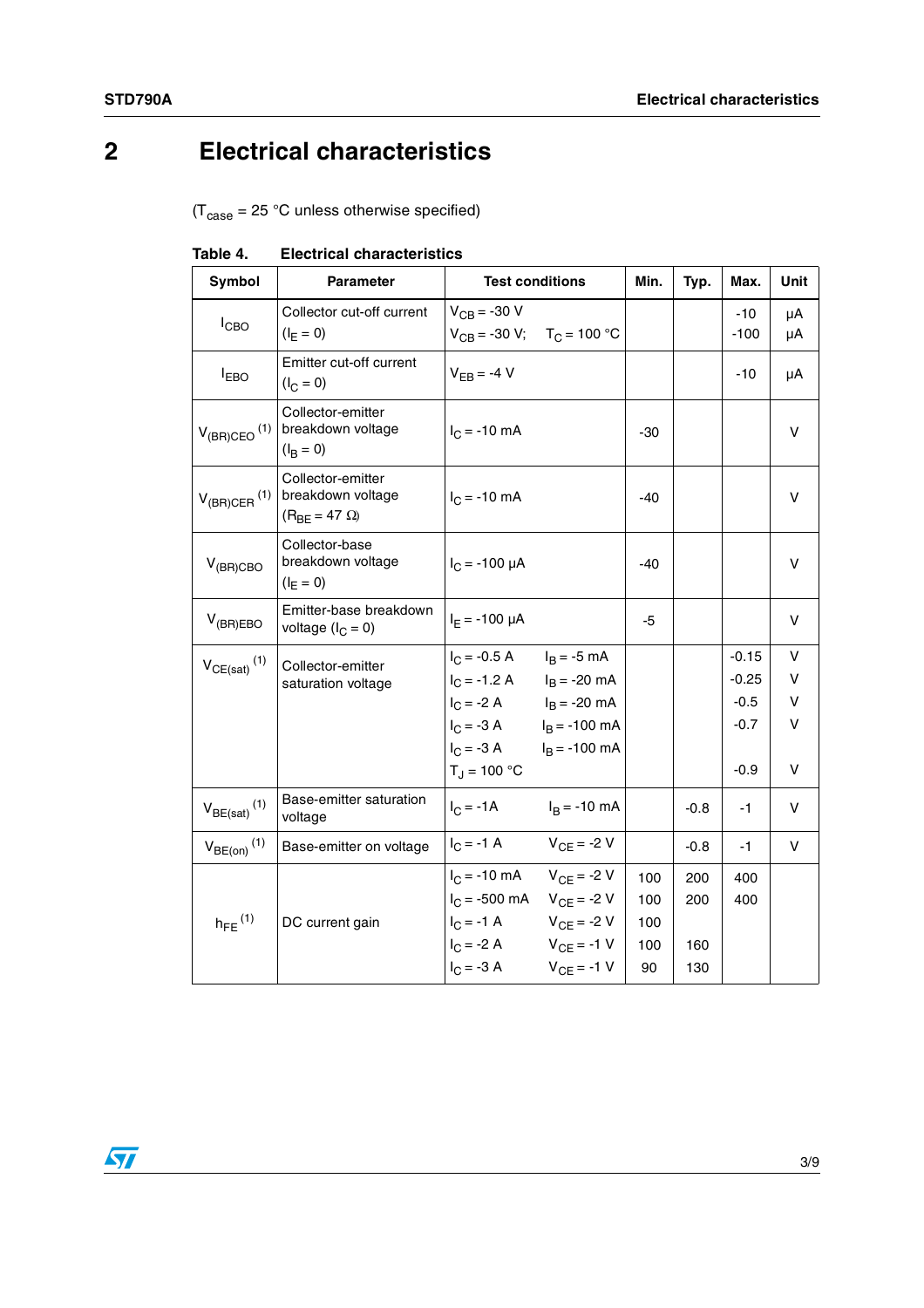# **2 Electrical characteristics**

 $(T_{\text{case}} = 25 \text{ °C}$  unless otherwise specified)

| <b>Symbol</b>                | <b>Parameter</b>                                                 | <b>Test conditions</b>                                         | Min.  | Typ.   | Max.          | <b>Unit</b> |
|------------------------------|------------------------------------------------------------------|----------------------------------------------------------------|-------|--------|---------------|-------------|
| $I_{CBO}$                    | Collector cut-off current<br>$(I_F = 0)$                         | $V_{CB} = -30 V$<br>$V_{CB} = -30 V$ ; T <sub>C</sub> = 100 °C |       |        | -10<br>$-100$ | μA<br>μA    |
| <b>IEBO</b>                  | Emitter cut-off current<br>$(I_C = 0)$                           | $V_{FB} = -4 V$                                                |       |        | -10           | μA          |
| $V_{(BR)CEO}$ <sup>(1)</sup> | Collector-emitter<br>breakdown voltage<br>$(I_{\rm B} = 0)$      | $I_C = -10$ mA                                                 | $-30$ |        |               | v           |
| $V_{(BR)CER}$ <sup>(1)</sup> | Collector-emitter<br>breakdown voltage<br>$(R_{BF} = 47 \Omega)$ | $I_C = -10$ mA                                                 | $-40$ |        |               | v           |
| $V_{(BR)CBO}$                | Collector-base<br>breakdown voltage<br>$(I_E = 0)$               | $I_C = -100 \mu A$                                             | $-40$ |        |               | v           |
| $V_{(BR)EBO}$                | Emitter-base breakdown<br>voltage $(I_C = 0)$                    | $I_F = -100 \mu A$                                             | -5    |        |               | v           |
| $V_{CE(sat)}$ <sup>(1)</sup> | Collector-emitter                                                | $I_C = -0.5 A$ $I_B = -5 mA$                                   |       |        | $-0.15$       | v           |
|                              | saturation voltage                                               | $I_C = -1.2 A$ $I_B = -20 mA$                                  |       |        | $-0.25$       | v           |
|                              |                                                                  | $I_C = -2 A$ $I_B = -20 mA$                                    |       |        | $-0.5$        | V           |
|                              |                                                                  | $I_C = -3 A$ $I_B = -100 mA$                                   |       |        | $-0.7$        | V           |
|                              |                                                                  | $I_C = -3 A$ $I_B = -100 mA$                                   |       |        |               |             |
|                              |                                                                  | $T_{\rm J}$ = 100 °C                                           |       |        | $-0.9$        | v           |
| $V_{BE(sat)}$ <sup>(1)</sup> | Base-emitter saturation<br>voltage                               | $I_C = -1A$<br>$I_B = -10$ mA                                  |       | $-0.8$ | -1            | v           |
| $V_{BE(on)}$ <sup>(1)</sup>  | Base-emitter on voltage                                          | $I_C = -1$ A<br>$V_{CE} = -2 V$                                |       | $-0.8$ | $-1$          | v           |
|                              |                                                                  | $I_C = -10 \text{ mA}$ $V_{CF} = -2 \text{ V}$                 | 100   | 200    | 400           |             |
|                              |                                                                  | $I_C = -500 \text{ mA}$ $V_{CE} = -2 \text{ V}$                | 100   | 200    | 400           |             |
| $h_{FF}$ <sup>(1)</sup>      | DC current gain                                                  | $I_C = -1$ A<br>$V_{CF} = -2 V$                                | 100   |        |               |             |
|                              |                                                                  | $I_C = -2 A$<br>$V_{CE} = -1 V$                                | 100   | 160    |               |             |
|                              |                                                                  | $V_{CF} = -3 A$ $V_{CF} = -1 V$                                | 90    | 130    |               |             |

### **Table 4. Electrical characteristics**

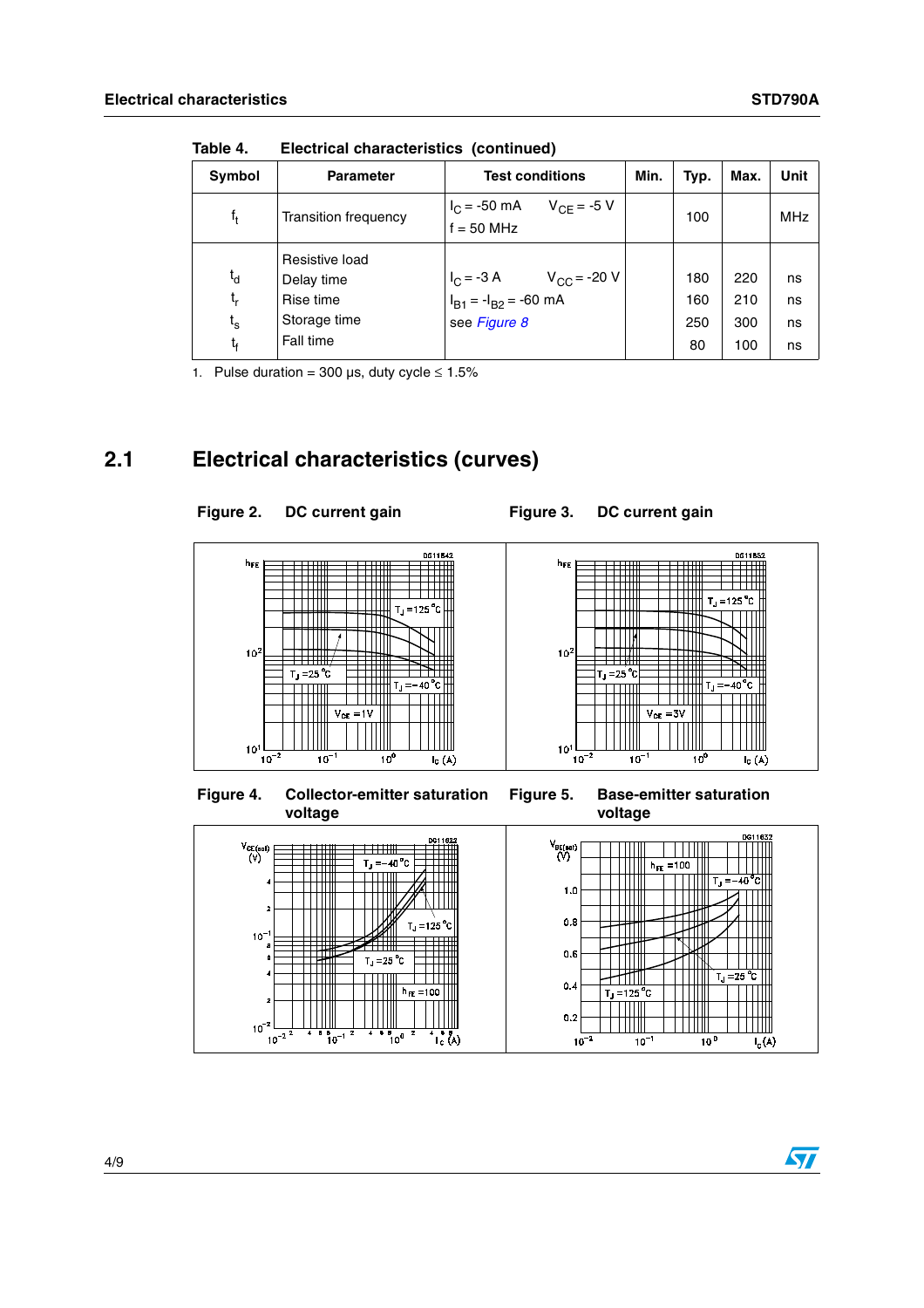| Symbol                                           | <b>Parameter</b>                                                       | <b>Test conditions</b>                                                                              | Min. | Typ.                    | Max.                     | Unit                 |
|--------------------------------------------------|------------------------------------------------------------------------|-----------------------------------------------------------------------------------------------------|------|-------------------------|--------------------------|----------------------|
| $f_t$                                            | Transition frequency                                                   | $V_{CF} = -5 V$<br>$I_C = -50$ mA<br>$f = 50$ MHz                                                   |      | 100                     |                          | <b>MHz</b>           |
| $t_{d}$<br>$t_{r}$<br>$t_{\rm s}$<br>$t_{\rm f}$ | Resistive load<br>Delay time<br>Rise time<br>Storage time<br>Fall time | $V_{\rm CC}$ = -20 V<br>$I_C = -3 A$ V <sub>CO</sub><br>$I_{B1} = -I_{B2} = -60$ mA<br>see Figure 8 |      | 180<br>160<br>250<br>80 | 220<br>210<br>300<br>100 | ns<br>ns<br>ns<br>ns |

**Table 4. Electrical characteristics (continued)**

1. Pulse duration = 300  $\mu$ s, duty cycle  $\leq 1.5\%$ 

### **2.1 Electrical characteristics (curves)**



 $0.2$ 

 $10^{-2}$ 

Ш

 $10^{-1}$ 

 $10<sup>0</sup>$ 

 $I_c(A)$ 

 $\overline{\mathbf{S}}$ 

 $10^{-2}$  $10^{-2}$ 

 $^{\circ}_{10}$ <sup>0</sup>

 $\frac{1}{2}$  (A)

Figure 2. DC current gain **Figure 3. DC current gain**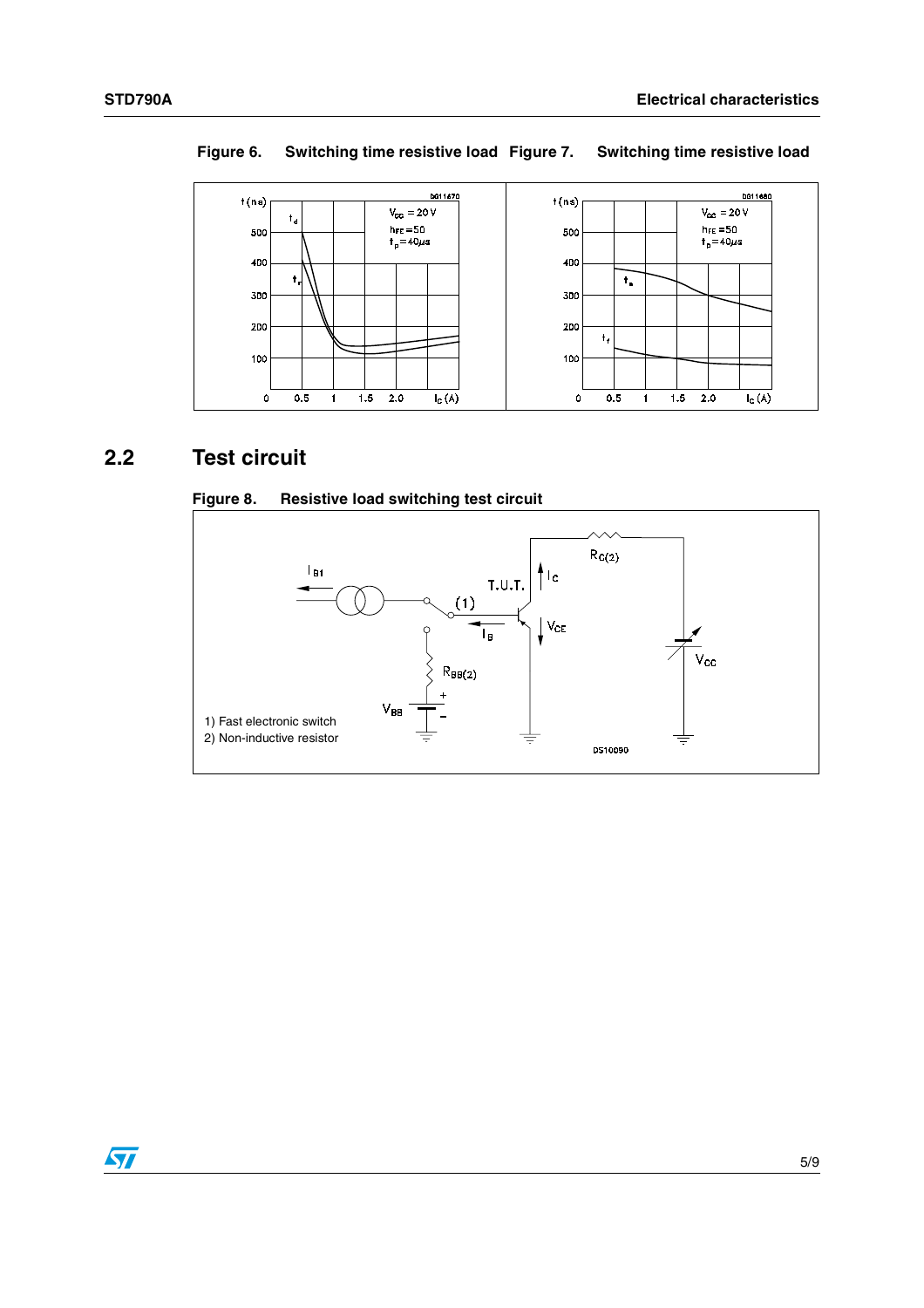

### **Figure 6. Switching time resistive load Figure 7. Switching time resistive load**

### **2.2 Test circuit**

<span id="page-4-0"></span>



 $\sqrt{2}$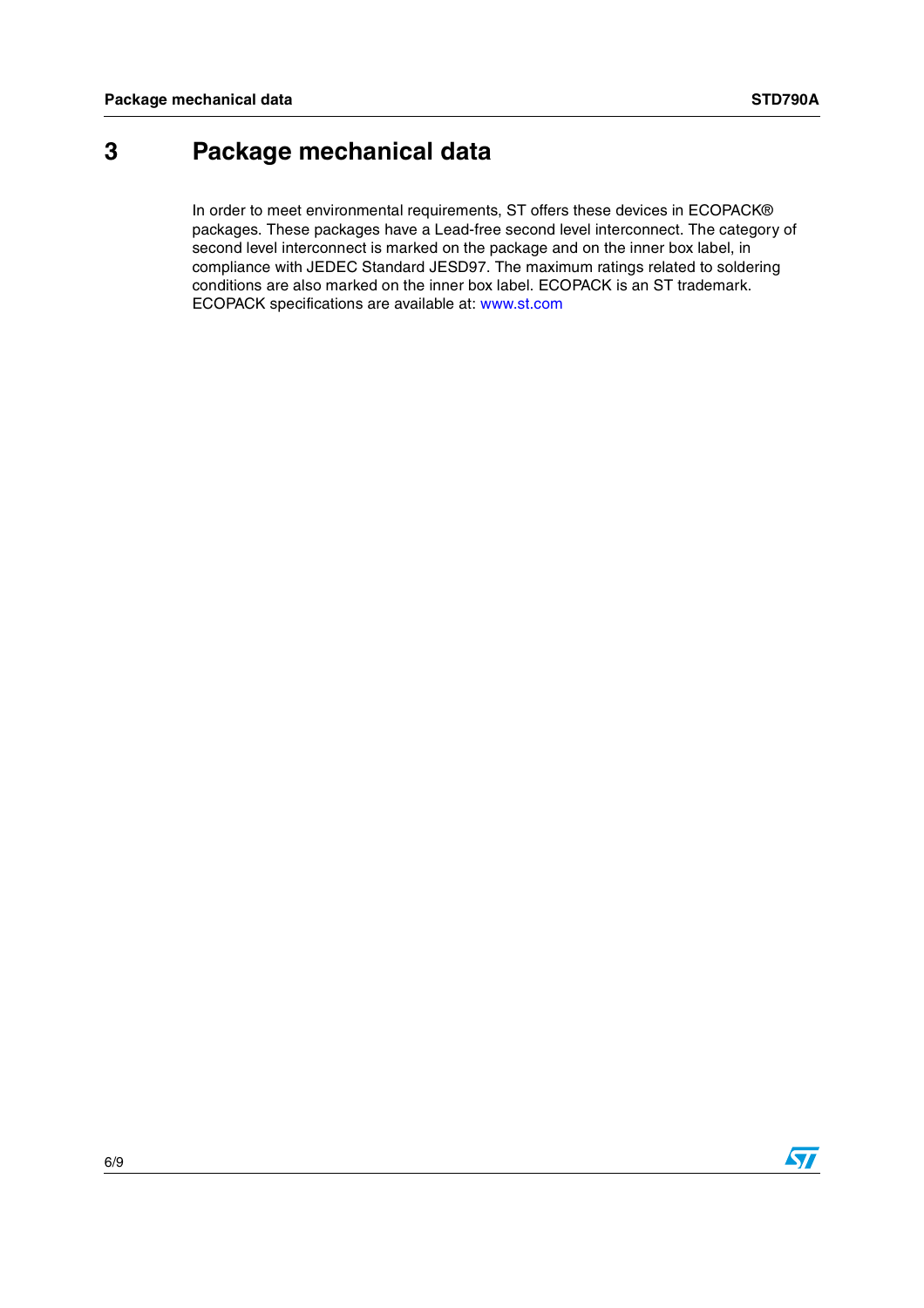# **3 Package mechanical data**

In order to meet environmental requirements, ST offers these devices in ECOPACK® packages. These packages have a Lead-free second level interconnect. The category of second level interconnect is marked on the package and on the inner box label, in compliance with JEDEC Standard JESD97. The maximum ratings related to soldering conditions are also marked on the inner box label. ECOPACK is an ST trademark. ECOPACK specifications are available at: www.st.com

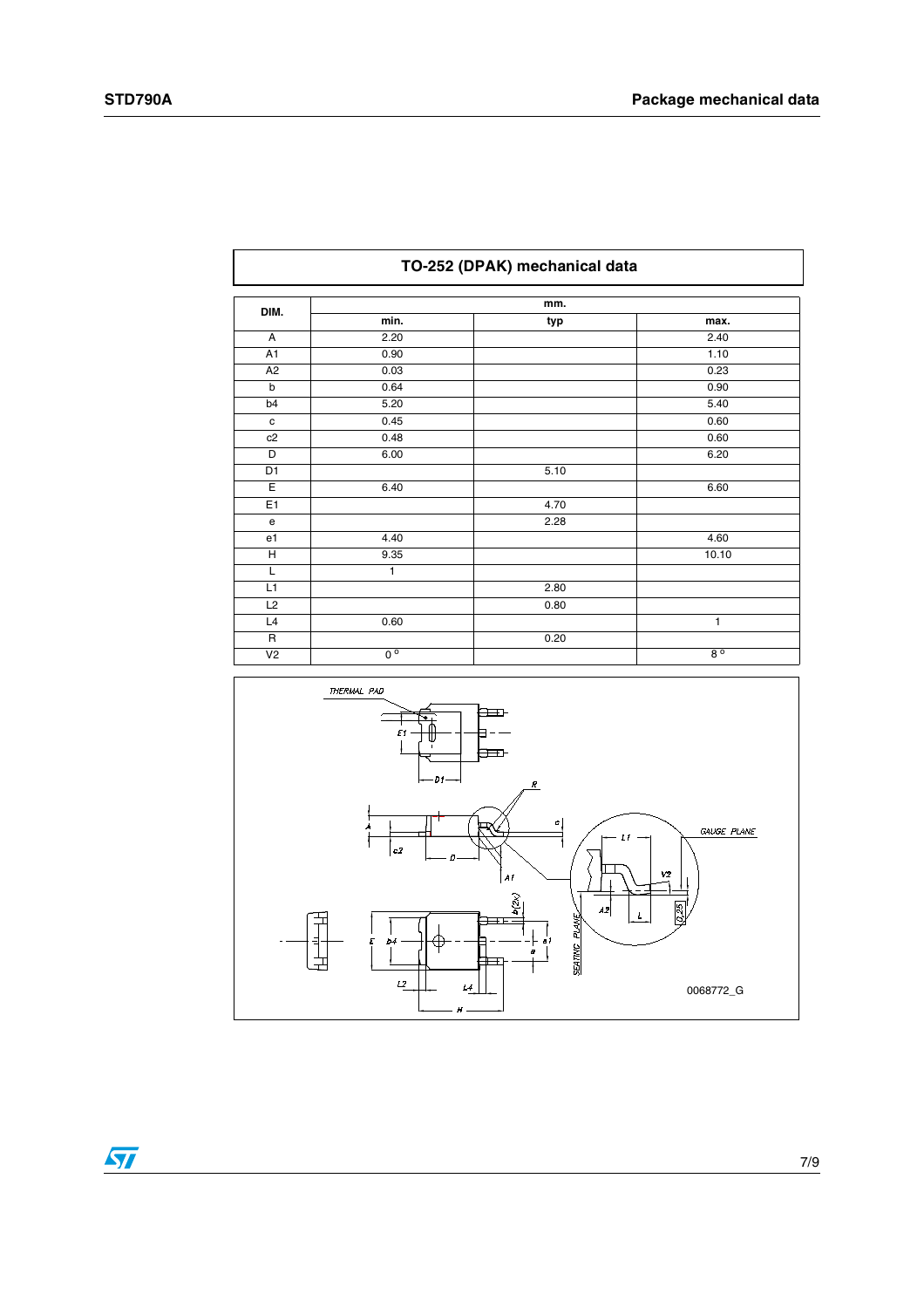h

| TO-252 (DPAK) mechanical data |              |      |             |
|-------------------------------|--------------|------|-------------|
| DIM.                          |              | mm.  |             |
|                               | min.         | typ  | max.        |
| A                             | 2.20         |      | 2.40        |
| A1                            | 0.90         |      | 1.10        |
| A <sub>2</sub>                | 0.03         |      | 0.23        |
| b                             | 0.64         |      | 0.90        |
| b4                            | 5.20         |      | 5.40        |
| c                             | 0.45         |      | 0.60        |
| c2                            | 0.48         |      | 0.60        |
| D                             | 6.00         |      | 6.20        |
| $\overline{D1}$               |              | 5.10 |             |
| Ε                             | 6.40         |      | 6.60        |
| E <sub>1</sub>                |              | 4.70 |             |
| e                             |              | 2.28 |             |
| e1                            | 4.40         |      | 4.60        |
| н                             | 9.35         |      | 10.10       |
| L                             | $\mathbf{1}$ |      |             |
| L1                            |              | 2.80 |             |
| L2                            |              | 0.80 |             |
| L4                            | 0.60         |      | 1           |
| $\mathsf R$                   |              | 0.20 |             |
| V <sub>2</sub>                | $0^{\circ}$  |      | $8^{\circ}$ |



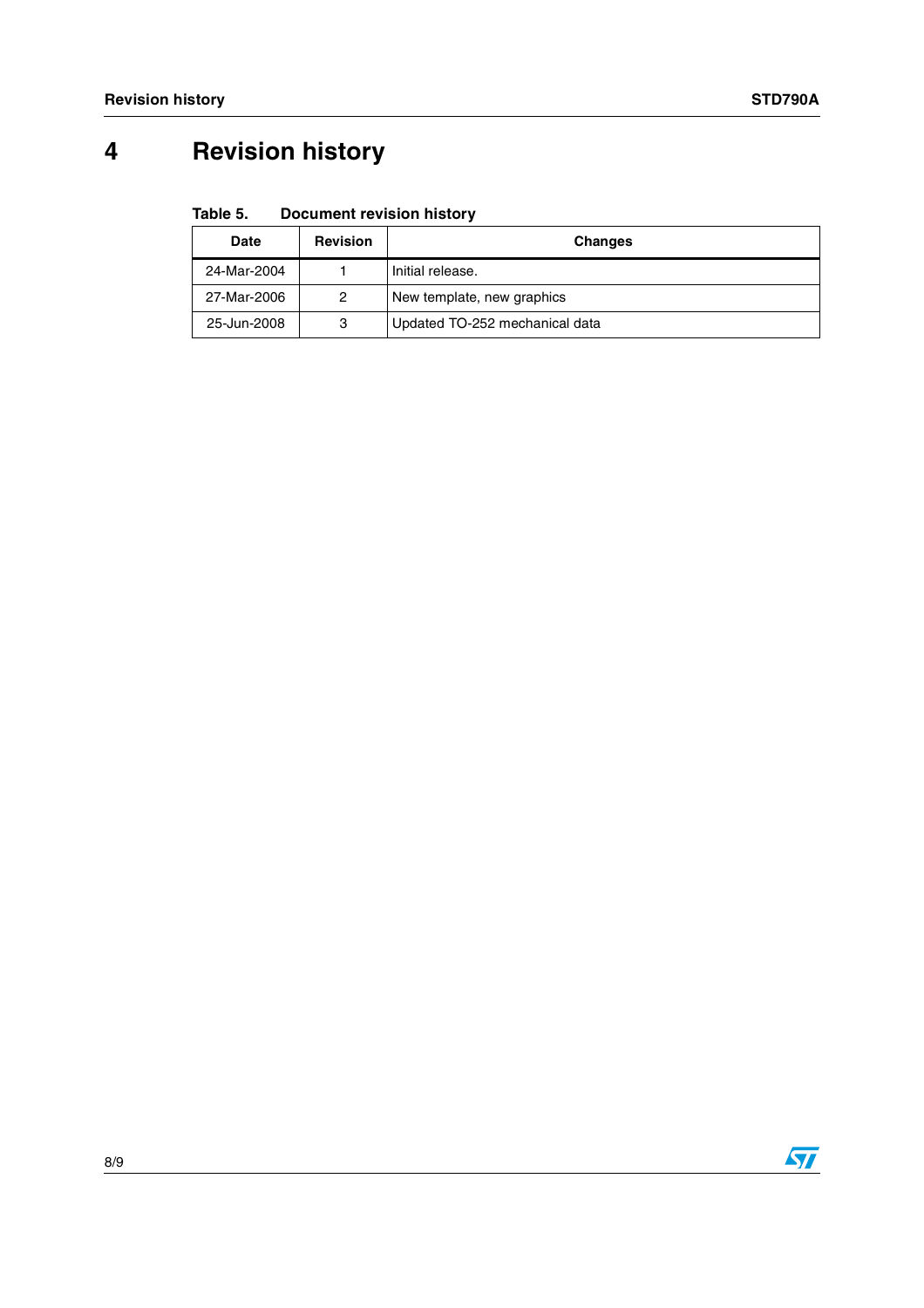# **4 Revision history**

#### Table 5. **Document revision history**

| <b>Date</b> | <b>Revision</b> | <b>Changes</b>                 |
|-------------|-----------------|--------------------------------|
| 24-Mar-2004 |                 | Initial release.               |
| 27-Mar-2006 | 2               | New template, new graphics     |
| 25-Jun-2008 | 3               | Updated TO-252 mechanical data |